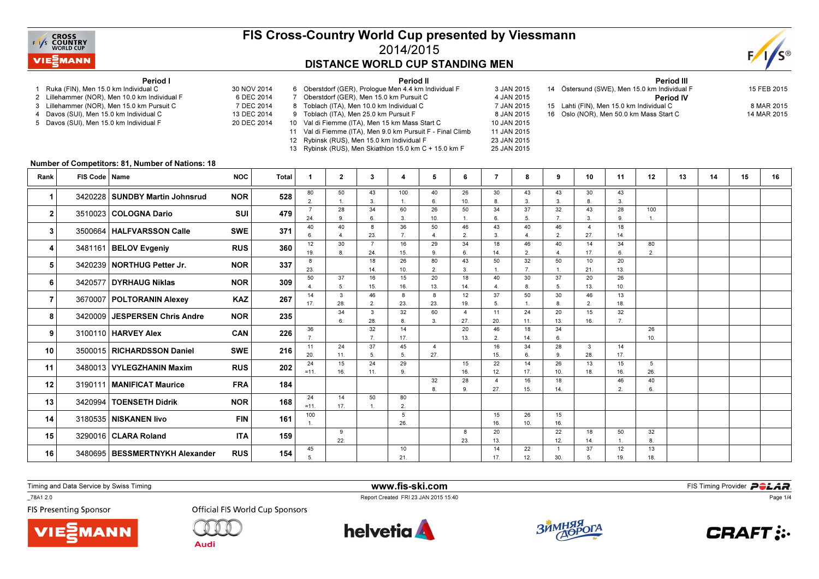

## FIS Cross-Country World Cup presented by Viessmann2014/2015DISTANCE WORLD CUP STANDING MEN

Period II



#### Period I

- 1 Ruka (FIN), Men 15.0 km Individual C 30 NOV 2014
- 2 Lillehammer (NOR), Men 10.0 km Individual F
- 3 Lillehammer (NOR), Men 15.0 km Pursuit C
- 4 Davos (SUI), Men 15.0 km Individual C
- 5 Davos (SUI), Men 15.0 km Individual F
- 6 DEC 2014 7 DEC 2014 13 DEC 2014 20 DEC 2014 7 Oberstdorf (GER), Men 15.0 km Pursuit C 8 Toblach (ITA), Men 10.0 km Individual C 9 Toblach (ITA), Men 25.0 km Pursuit F 10 Val di Fiemme (ITA), Men 15 km Mass Start C
	- 11 Val di Fiemme (ITA), Men 9.0 km Pursuit F Final Climb 12 Rybinsk (RUS), Men 15.0 km Individual F
		- 13 Rybinsk (RUS), Men Skiathlon 15.0 km C + 15.0 km F
			-
- 6 Oberstdorf (GER), Prologue Men 4.4 km Individual F 3 JAN 2015 4 JAN 2015 7 JAN 2015 8 JAN 2015 10 JAN 2015 11 JAN 2015 23 JAN 2015 25 JAN 2015 15 Lahti (FIN), Men 15.0 km Individual C 16 Oslo (NOR), Men 50.0 km Mass Start C

| <b>Period III</b>                            |             |
|----------------------------------------------|-------------|
| 14 Östersund (SWE), Men 15.0 km Individual F | 15 FEB 2015 |
| <b>Period IV</b>                             |             |
| 15 Lahti (FIN), Men 15.0 km Individual C     | 8 MAR 2015  |
| 16 Oslo (NOR). Men 50.0 km Mass Start C_     | 14 MAR 2015 |

Period III

#### Number of Competitors: 81, Number of Nations: 18

| Rank           | FIS Code   Name |                                  | <b>NOC</b> | Total | -1             | $\mathbf{2}$ | 3                     | 4              | 5                       | 6         | 7                     | 8         | 9            | 10                      | 11           | 12        | 13 | 14 | 15 | 16 |
|----------------|-----------------|----------------------------------|------------|-------|----------------|--------------|-----------------------|----------------|-------------------------|-----------|-----------------------|-----------|--------------|-------------------------|--------------|-----------|----|----|----|----|
| 1              |                 | 3420228 SUNDBY Martin Johnsrud   | <b>NOR</b> | 528   | 80             | 50           | 43                    | 100            | 40                      | 26        | 30                    | 43        | 43           | 30                      | 43           |           |    |    |    |    |
|                |                 |                                  |            |       | $\overline{2}$ | 28           | 3.<br>34              | 60             | 6.<br>26                | 10.<br>50 | 8.<br>34              | 3.<br>37  | 3.<br>32     | 8.<br>43                | 3.<br>28     | 100       |    |    |    |    |
| $\mathbf{2}$   |                 | 3510023 COLOGNA Dario            | <b>SUI</b> | 479   | 24.            | 9            | 6.                    | 3.             | 10.                     |           | 6.                    | 5.        | 7.           | 3.                      | 9.           | 1.        |    |    |    |    |
| 3              |                 | 3500664   HALFVARSSON Calle      | <b>SWE</b> | 371   | 40             | 40           | 8                     | 36             | 50                      | 46        | 43                    | 40        | 46           | $\overline{\mathbf{A}}$ | 18           |           |    |    |    |    |
|                |                 |                                  |            |       |                | Δ            | 23.<br>$\overline{7}$ | $\overline{7}$ |                         | 2.        | $\mathbf{3}$          |           | 2.           | 27.                     | 14.          |           |    |    |    |    |
| 4              |                 | 3481161 BELOV Evgeniy            | <b>RUS</b> | 360   | 12<br>19.      | 30<br>8      | 24.                   | 16<br>15.      | 29                      | 34<br>6   | 18<br>14.             | 46<br>2.  | 40<br>4      | 14<br>17.               | 34<br>6.     | 80<br>2.  |    |    |    |    |
|                |                 |                                  |            |       | 8              |              | 18                    | 26             | 80                      | 43        | 50                    | 32        | 50           | 10                      | 20           |           |    |    |    |    |
| 5              |                 | 3420239   NORTHUG Petter Jr.     | <b>NOR</b> | 337   | 23.            |              | 14.                   | 10.            |                         | 3.        |                       | 7.        |              | 21.                     | 13.          |           |    |    |    |    |
| 6              |                 | 3420577   DYRHAUG Niklas         | <b>NOR</b> | 309   | 50             | 37           | 16                    | 15             | 20                      | 18        | 40                    | 30        | 37           | 20                      | 26           |           |    |    |    |    |
|                |                 |                                  |            |       | 14             | 5.<br>3      | 15.<br>46             | 16.<br>8       | 13.<br>8                | 14.<br>12 | 37                    | 8<br>50   | 5.<br>30     | 13.<br>46               | 10.<br>13    |           |    |    |    |    |
| $\overline{7}$ |                 | 3670007   POLTORANIN Alexey      | <b>KAZ</b> | 267   | 17.            | 28.          | 2.                    | 23.            | 23.                     | 19.       | 5.                    |           | 8            | 2.                      | 18.          |           |    |    |    |    |
| 8              |                 | 3420009 JESPERSEN Chris Andre    | <b>NOR</b> | 235   |                | 34           | $\mathcal{R}$         | 32             | 60                      | 4         | 11                    | 24        | 20           | 15                      | 32           |           |    |    |    |    |
|                |                 |                                  |            |       |                | 6.           | 28.                   | 8              | 3.                      | 27.       | 20.                   | 11.       | 13.          | 16.                     | 7.           |           |    |    |    |    |
| 9              |                 | 3100110 HARVEY Alex              | <b>CAN</b> | 226   | 36             |              | 32                    | 14<br>17.      |                         | 20<br>13. | 46<br>2.              | 18<br>14. | 34<br>6.     |                         |              | 26<br>10. |    |    |    |    |
|                |                 |                                  |            |       | 11             | 24           | 37                    | 45             | $\overline{\mathbf{4}}$ |           | 16                    | 34        | 28           | 3                       | 14           |           |    |    |    |    |
| 10             |                 | 3500015   RICHARDSSON Daniel     | <b>SWE</b> | 216   | 20.            | 11.          | 5.                    | 5.             | 27.                     |           | 15.                   | 6.        | 9.           | 28.                     | 17.          |           |    |    |    |    |
| 11             |                 | 3480013   VYLEGZHANIN Maxim      | <b>RUS</b> | 202   | 24             | 15           | 24                    | 29             |                         | 15        | 22                    | 14        | 26           | 13                      | 15           | 5         |    |    |    |    |
|                |                 |                                  |            |       | $=11.$         | 16.          | 11.                   | 9              | 32                      | 16.<br>28 | 12.<br>$\overline{4}$ | 17.<br>16 | 10.<br>18    | 18.                     | 16.<br>46    | 26.<br>40 |    |    |    |    |
| 12             |                 | 3190111   MANIFICAT Maurice      | <b>FRA</b> | 184   |                |              |                       |                |                         | 9         | 27.                   | 15.       | 14.          |                         | 2.           | 6.        |    |    |    |    |
| 13             |                 | 3420994   TOENSETH Didrik        | <b>NOR</b> | 168   | 24             | 14           | 50                    | 80             |                         |           |                       |           |              |                         |              |           |    |    |    |    |
|                |                 |                                  |            |       | $=11.$         | 17.          |                       | 2.             |                         |           |                       |           |              |                         |              |           |    |    |    |    |
| 14             |                 | 3180535 NISKANEN livo            | <b>FIN</b> | 161   | 100            |              |                       | 5<br>26.       |                         |           | 15<br>16.             | 26<br>10. | 15<br>16.    |                         |              |           |    |    |    |    |
|                |                 |                                  |            |       |                | 9            |                       |                |                         | 8         | 20                    |           | 22           | 18                      | 50           | 32        |    |    |    |    |
| 15             |                 | 3290016 CLARA Roland             | <b>ITA</b> | 159   |                | 22.          |                       |                |                         | 23.       | 13.                   |           | 12.          | 14.                     | $\mathbf{1}$ | 8.        |    |    |    |    |
| 16             |                 | 3480695   BESSMERTNYKH Alexander | <b>RUS</b> | 154   | 45             |              |                       | 10             |                         |           | 14                    | 22        | $\mathbf{1}$ | 37                      | 12           | 13        |    |    |    |    |
|                |                 |                                  |            | 5     |                |              | 21.                   |                |                         | 17.       | 12.                   | 30.       | 5.           | 19.                     | 18.          |           |    |    |    |    |

Timing and Data Service by Swiss Timing

**MANN!** 

\_78A1 2.0

**FIS Presenting Sponsor** 



**Audi** 



www.fis-ski.com

Report Created FRI 23 JAN 2015 15:40



**m**<br>FIS Timing Provider<br>F<sup>15:40</sup>



Page 1/4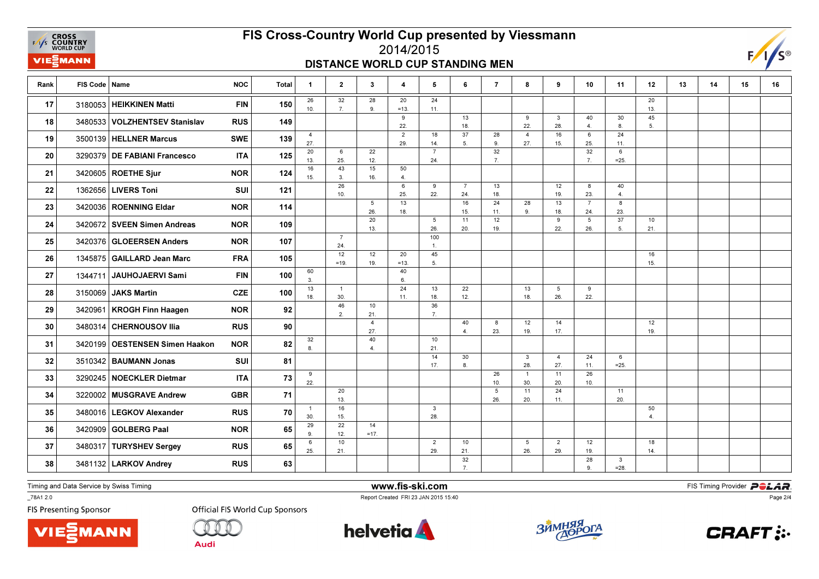**EXAMPLE CROSS**<br>
FAYS **COUNTRY**<br>
WORLD CUP VIEZMANN

### FIS Cross-Country World Cup presented by Viessmann2014/2015

#### DISTANCE WORLD CUP STANDING MEN



| Rank | FIS Code   Name |                                | <b>NOC</b> | <b>Total</b> | $\mathbf{1}$          | $\mathbf{2}$          | 3                      | 4                     | 5                     | 6                     | $\overline{7}$ | 8                     | 9                     | 10                    | 11                      | 12                     | 13 | 14 | 15 | 16 |
|------|-----------------|--------------------------------|------------|--------------|-----------------------|-----------------------|------------------------|-----------------------|-----------------------|-----------------------|----------------|-----------------------|-----------------------|-----------------------|-------------------------|------------------------|----|----|----|----|
| 17   |                 | 3180053 HEIKKINEN Matti        | <b>FIN</b> | 150          | 26<br>10.             | 32<br>7.              | 28<br>9.               | 20<br>$=13.$          | 24<br>11.             |                       |                |                       |                       |                       |                         | 20<br>13.              |    |    |    |    |
| 18   |                 | 3480533 VOLZHENTSEV Stanislav  | <b>RUS</b> | 149          |                       |                       |                        | 9<br>22.              |                       | 13<br>18.             |                | 9<br>22.              | 3<br>28.              | 40<br>4.              | 30<br>8.                | 45<br>5.               |    |    |    |    |
| 19   |                 | 3500139   HELLNER Marcus       | <b>SWE</b> | 139          | $\overline{4}$<br>27. |                       |                        | $\overline{2}$<br>29. | 18<br>14.             | 37<br>5.              | 28<br>9.       | $\overline{4}$<br>27. | 16<br>15.             | 6<br>25.              | 24<br>11.               |                        |    |    |    |    |
| 20   |                 | 3290379 DE FABIANI Francesco   | <b>ITA</b> | 125          | 20<br>13.             | 6<br>25.              | 22<br>12.              |                       | $\overline{7}$<br>24. |                       | 32<br>7.       |                       |                       | 32<br>7.              | 6<br>$=25.$             |                        |    |    |    |    |
| 21   |                 | 3420605 ROETHE Sjur            | <b>NOR</b> | 124          | 16<br>15.             | 43<br>3.              | 15<br>16.              | 50<br>4.              |                       |                       |                |                       |                       |                       |                         |                        |    |    |    |    |
| 22   |                 | 1362656 LIVERS Toni            | <b>SUI</b> | 121          |                       | 26<br>10.             |                        | 6<br>25.              | 9<br>22.              | $\overline{7}$<br>24. | 13<br>18.      |                       | 12<br>19.             | 8<br>23.              | 40<br>4.                |                        |    |    |    |    |
| 23   |                 | 3420036 ROENNING Eldar         | <b>NOR</b> | 114          |                       |                       | $5\overline{5}$<br>26. | 13<br>18.             |                       | 16<br>15.             | 24<br>11.      | 28<br>9.              | 13<br>18.             | $\overline{7}$<br>24. | $\boldsymbol{8}$<br>23. |                        |    |    |    |    |
| 24   |                 | 3420672 SVEEN Simen Andreas    | <b>NOR</b> | 109          |                       |                       | 20<br>13.              |                       | 5<br>26.              | 11<br>20.             | 12<br>19.      |                       | 9<br>22.              | 5<br>26.              | 37<br>5.                | 10<br>21.              |    |    |    |    |
| 25   |                 | 3420376 GLOEERSEN Anders       | <b>NOR</b> | 107          |                       | $\overline{7}$<br>24. |                        |                       | 100<br>$\overline{1}$ |                       |                |                       |                       |                       |                         |                        |    |    |    |    |
| 26   |                 | 1345875 GAILLARD Jean Marc     | <b>FRA</b> | 105          |                       | 12<br>$=19.$          | 12<br>19.              | 20<br>$=13.$          | 45<br>5.              |                       |                |                       |                       |                       |                         | 16<br>15.              |    |    |    |    |
| 27   |                 | 1344711 JAUHOJAERVI Sami       | <b>FIN</b> | 100          | 60<br>3.              |                       |                        | 40<br>6.              |                       |                       |                |                       |                       |                       |                         |                        |    |    |    |    |
| 28   |                 | 3150069 JAKS Martin            | <b>CZE</b> | 100          | 13<br>18.             | $\overline{1}$<br>30. |                        | 24<br>11.             | 13<br>18.             | 22<br>12.             |                | 13<br>18.             | 5<br>26.              | 9<br>22.              |                         |                        |    |    |    |    |
| 29   |                 | 3420961   KROGH Finn Haagen    | <b>NOR</b> | 92           |                       | 46<br>2.              | 10<br>21.              |                       | 36<br>7.              |                       |                |                       |                       |                       |                         |                        |    |    |    |    |
| 30   |                 | 3480314 CHERNOUSOV IIia        | <b>RUS</b> | 90           |                       |                       | $\overline{4}$<br>27.  |                       |                       | 40<br>$\overline{4}$  | 8<br>23.       | 12<br>19.             | 14<br>17.             |                       |                         | 12<br>19.              |    |    |    |    |
| 31   |                 | 3420199 OESTENSEN Simen Haakon | <b>NOR</b> | 82           | 32<br>8.              |                       | 40<br>$\overline{4}$   |                       | 10<br>21.             |                       |                |                       |                       |                       |                         |                        |    |    |    |    |
| 32   |                 | 3510342   BAUMANN Jonas        | SUI        | 81           |                       |                       |                        |                       | 14<br>17.             | 30<br>8.              |                | 3<br>28.              | $\overline{4}$<br>27. | 24<br>11.             | 6<br>$=25.$             |                        |    |    |    |    |
| 33   |                 | 3290245 NOECKLER Dietmar       | <b>ITA</b> | 73           | 9<br>22.              |                       |                        |                       |                       |                       | 26<br>10.      | $\mathbf{1}$<br>30.   | 11<br>20.             | 26<br>10.             |                         |                        |    |    |    |    |
| 34   |                 | 3220002 MUSGRAVE Andrew        | <b>GBR</b> | 71           |                       | 20<br>13.             |                        |                       |                       |                       | 5<br>26.       | 11<br>20.             | 24<br>11.             |                       | 11<br>20.               |                        |    |    |    |    |
| 35   |                 | 3480016   LEGKOV Alexander     | <b>RUS</b> | 70           | $\overline{1}$<br>30. | 16<br>15.             |                        |                       | $\mathbf{3}$<br>28.   |                       |                |                       |                       |                       |                         | 50<br>$\overline{4}$ . |    |    |    |    |
| 36   |                 | 3420909 GOLBERG Paal           | <b>NOR</b> | 65           | 29<br>9.              | 22<br>12.             | 14<br>$=17.$           |                       |                       |                       |                |                       |                       |                       |                         |                        |    |    |    |    |
| 37   |                 | 3480317 TURYSHEV Sergey        | <b>RUS</b> | 65           | 6<br>25.              | 10<br>21.             |                        |                       | $\overline{2}$<br>29. | 10<br>21.             |                | 5 <sub>5</sub><br>26. | $\overline{2}$<br>29. | 12<br>19.             |                         | 18<br>14.              |    |    |    |    |
| 38   |                 | 3481132 LARKOV Andrey          | <b>RUS</b> | 63           |                       |                       |                        |                       |                       | 32<br>7.              |                |                       |                       | 28<br>9.              | 3<br>$=28.$             |                        |    |    |    |    |

Timing and Data Service by Swiss Timing

 www.fis-ski.comReport Created FRI 23 JAN 2015 15:40

**m**<br>FIS Timing Provider<br>F<sup>15:40</sup>

Page 2/4

\_78A1 2.0

**FIS Presenting Sponsor** 





**Audi** 

**helvetia** 



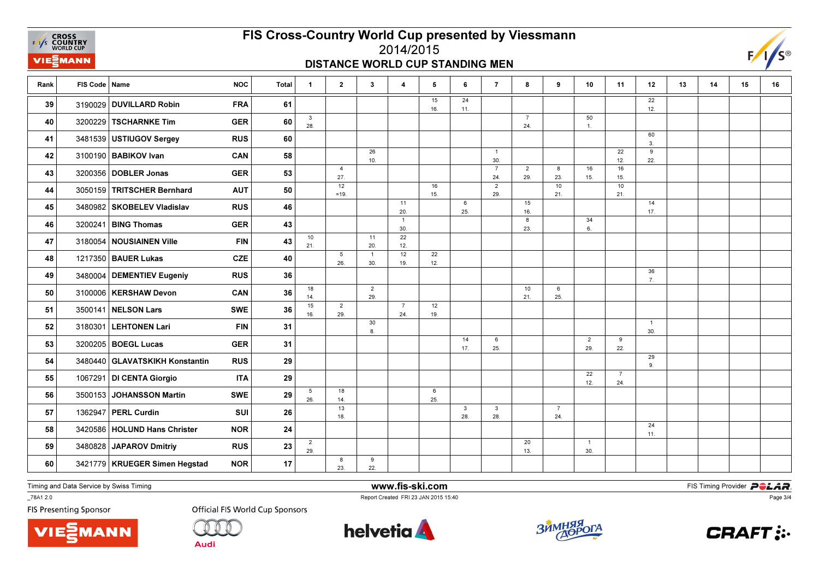**EXAMPLE CROSS**<br>
FAYS **COUNTRY**<br>
WORLD CUP VIEZMANN

# FIS Cross-Country World Cup presented by Viessmann

#### 2014/2015DISTANCE WORLD CUP STANDING MEN



| Rank | FIS Code   Name |                                 | <b>NOC</b> | <b>Total</b> | $\mathbf{1}$          | $\mathbf{2}$           | $\mathbf{3}$          | $\overline{\mathbf{4}}$ | 5         | 6                   | $\overline{7}$        | 8                     | 9                     | 10                    | 11                    | 12                     | 13 | 14 | 15 | 16 |
|------|-----------------|---------------------------------|------------|--------------|-----------------------|------------------------|-----------------------|-------------------------|-----------|---------------------|-----------------------|-----------------------|-----------------------|-----------------------|-----------------------|------------------------|----|----|----|----|
| 39   |                 | 3190029 DUVILLARD Robin         | <b>FRA</b> | 61           |                       |                        |                       |                         | 15<br>16. | 24<br>11.           |                       |                       |                       |                       |                       | 22<br>12.              |    |    |    |    |
| 40   |                 | 3200229 TSCHARNKE Tim           | <b>GER</b> | 60           | $\mathbf{3}$<br>28.   |                        |                       |                         |           |                     |                       | $\overline{7}$<br>24. |                       | 50<br>$\overline{1}$  |                       |                        |    |    |    |    |
| 41   |                 | 3481539 USTIUGOV Sergey         | <b>RUS</b> | 60           |                       |                        |                       |                         |           |                     |                       |                       |                       |                       |                       | 60<br>3.               |    |    |    |    |
| 42   |                 | 3100190   BABIKOV Ivan          | CAN        | 58           |                       |                        | 26<br>10.             |                         |           |                     | $\overline{1}$<br>30. |                       |                       |                       | 22<br>12.             | 9<br>22.               |    |    |    |    |
| 43   |                 | 3200356 DOBLER Jonas            | <b>GER</b> | 53           |                       | $\overline{4}$<br>27.  |                       |                         |           |                     | $\overline{7}$<br>24. | $\overline{2}$<br>29. | 8<br>23.              | 16<br>15.             | 16<br>15.             |                        |    |    |    |    |
| 44   |                 | 3050159 TRITSCHER Bernhard      | <b>AUT</b> | 50           |                       | 12<br>$=19.$           |                       |                         | 16<br>15. |                     | $\overline{2}$<br>29. |                       | 10<br>21.             |                       | 10<br>21.             |                        |    |    |    |    |
| 45   |                 | 3480982 SKOBELEV Vladislav      | <b>RUS</b> | 46           |                       |                        |                       | 11<br>20.               |           | 6<br>25.            |                       | 15<br>16.             |                       |                       |                       | 14<br>17.              |    |    |    |    |
| 46   |                 | 3200241 BING Thomas             | <b>GER</b> | 43           |                       |                        |                       | $\overline{1}$<br>30.   |           |                     |                       | 8<br>23.              |                       | 34<br>6.              |                       |                        |    |    |    |    |
| 47   |                 | 3180054 NOUSIAINEN Ville        | <b>FIN</b> | 43           | 10<br>21.             |                        | 11<br>20.             | 22<br>12.               |           |                     |                       |                       |                       |                       |                       |                        |    |    |    |    |
| 48   |                 | 1217350   BAUER Lukas           | <b>CZE</b> | 40           |                       | $5\phantom{.0}$<br>26. | $\overline{1}$<br>30. | 12<br>19.               | 22<br>12. |                     |                       |                       |                       |                       |                       |                        |    |    |    |    |
| 49   |                 | 3480004 DEMENTIEV Eugeniy       | <b>RUS</b> | 36           |                       |                        |                       |                         |           |                     |                       |                       |                       |                       |                       | 36<br>$\overline{7}$ . |    |    |    |    |
| 50   |                 | 3100006   KERSHAW Devon         | CAN        | 36           | 18<br>14.             |                        | $\overline{2}$<br>29. |                         |           |                     |                       | 10<br>21.             | 6<br>25.              |                       |                       |                        |    |    |    |    |
| 51   | 3500141         | NELSON Lars                     | <b>SWE</b> | 36           | 15<br>16.             | 2<br>29.               |                       | $\overline{7}$<br>24.   | 12<br>19. |                     |                       |                       |                       |                       |                       |                        |    |    |    |    |
| 52   | 3180301         | <b>LEHTONEN Lari</b>            | <b>FIN</b> | 31           |                       |                        | 30 <sup>°</sup><br>8. |                         |           |                     |                       |                       |                       |                       |                       | $\overline{1}$<br>30.  |    |    |    |    |
| 53   |                 | 3200205   BOEGL Lucas           | <b>GER</b> | 31           |                       |                        |                       |                         |           | 14<br>17.           | 6<br>25.              |                       |                       | $\overline{2}$<br>29. | 9<br>22.              |                        |    |    |    |    |
| 54   |                 | 3480440 GLAVATSKIKH Konstantin  | <b>RUS</b> | 29           |                       |                        |                       |                         |           |                     |                       |                       |                       |                       |                       | 29<br>9.               |    |    |    |    |
| 55   |                 | 1067291 DI CENTA Giorgio        | <b>ITA</b> | 29           |                       |                        |                       |                         |           |                     |                       |                       |                       | 22<br>12.             | $\overline{7}$<br>24. |                        |    |    |    |    |
| 56   |                 | 3500153 JOHANSSON Martin        | <b>SWE</b> | 29           | 5<br>26.              | 18<br>14.              |                       |                         | 6<br>25.  |                     |                       |                       |                       |                       |                       |                        |    |    |    |    |
| 57   |                 | 1362947 PERL Curdin             | <b>SUI</b> | 26           |                       | 13<br>18.              |                       |                         |           | $\mathbf{3}$<br>28. | 3<br>28.              |                       | $\overline{7}$<br>24. |                       |                       |                        |    |    |    |    |
| 58   |                 | 3420586   HOLUND Hans Christer  | <b>NOR</b> | 24           |                       |                        |                       |                         |           |                     |                       |                       |                       |                       |                       | 24<br>11.              |    |    |    |    |
| 59   |                 | 3480828 JAPAROV Dmitriy         | <b>RUS</b> | 23           | $\overline{2}$<br>29. |                        |                       |                         |           |                     |                       | 20<br>13.             |                       | $\overline{1}$<br>30. |                       |                        |    |    |    |    |
| 60   |                 | 3421779   KRUEGER Simen Hegstad | <b>NOR</b> | 17           |                       | 8<br>23.               | 9<br>22.              |                         |           |                     |                       |                       |                       |                       |                       |                        |    |    |    |    |

Timing and Data Service by Swiss Timing

\_78A1 2.0

**FIS Presenting Sponsor** 





**Official FIS World Cup Sponsors** 



www.fis-ski.com

Report Created FRI 23 JAN 2015 15:40





**CRAFT:** 

Page 3/4